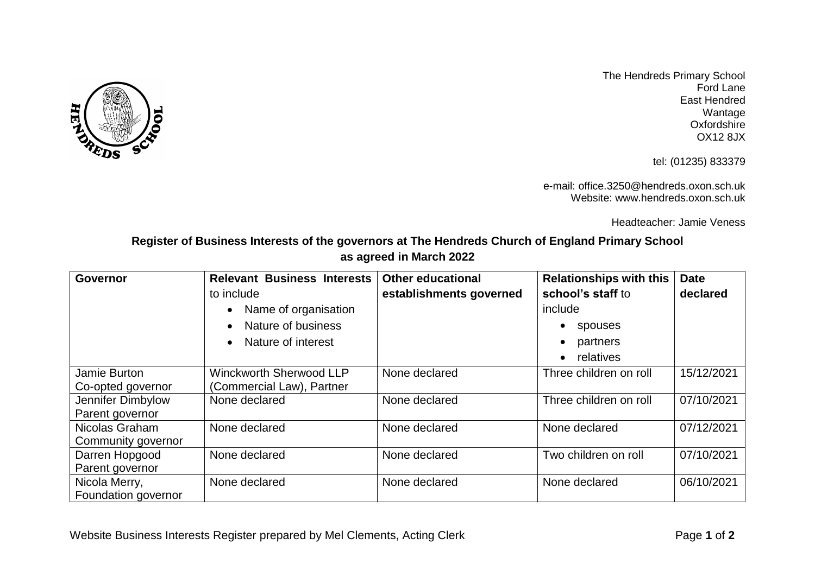

The Hendreds Primary School Ford Lane East Hendred Wantage **Oxfordshire** OX12 8JX

tel: (01235) 833379

e-mail: office.3250@hendreds.oxon.sch.uk Website: www.hendreds.oxon.sch.uk

Headteacher: Jamie Veness

**Register of Business Interests of the governors at The Hendreds Church of England Primary School as agreed in March 2022**

| <b>Governor</b>     | <b>Relevant Business Interests</b> | <b>Other educational</b> | <b>Relationships with this</b> | <b>Date</b> |
|---------------------|------------------------------------|--------------------------|--------------------------------|-------------|
|                     | to include                         | establishments governed  | school's staff to              | declared    |
|                     | Name of organisation               |                          | include                        |             |
|                     | Nature of business                 |                          | spouses<br>$\bullet$           |             |
|                     | Nature of interest                 |                          | partners<br>$\bullet$          |             |
|                     |                                    |                          | relatives<br>$\bullet$         |             |
| Jamie Burton        | <b>Winckworth Sherwood LLP</b>     | None declared            | Three children on roll         | 15/12/2021  |
| Co-opted governor   | (Commercial Law), Partner          |                          |                                |             |
| Jennifer Dimbylow   | None declared                      | None declared            | Three children on roll         | 07/10/2021  |
| Parent governor     |                                    |                          |                                |             |
| Nicolas Graham      | None declared                      | None declared            | None declared                  | 07/12/2021  |
| Community governor  |                                    |                          |                                |             |
| Darren Hopgood      | None declared                      | None declared            | Two children on roll           | 07/10/2021  |
| Parent governor     |                                    |                          |                                |             |
| Nicola Merry,       | None declared                      | None declared            | None declared                  | 06/10/2021  |
| Foundation governor |                                    |                          |                                |             |